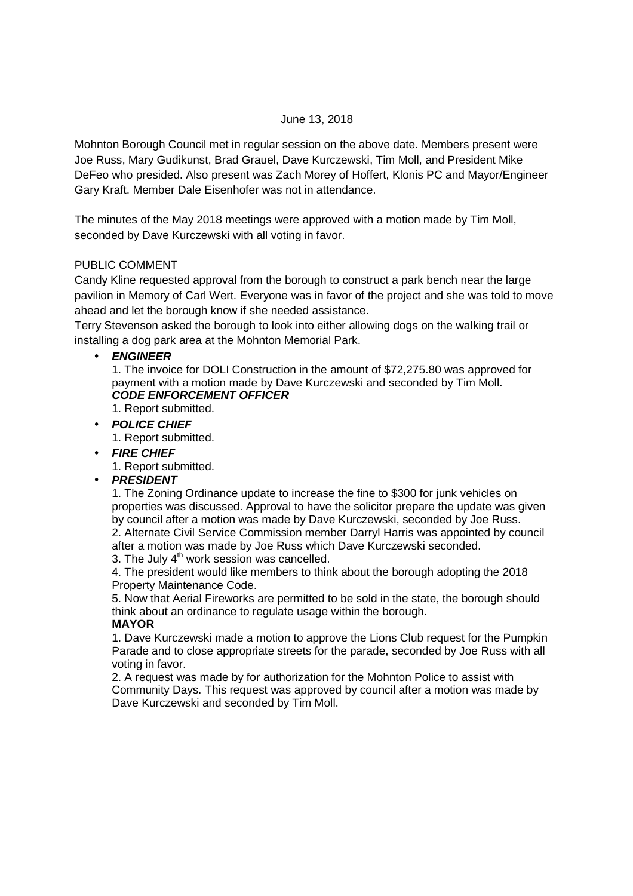## June 13, 2018

Mohnton Borough Council met in regular session on the above date. Members present were Joe Russ, Mary Gudikunst, Brad Grauel, Dave Kurczewski, Tim Moll, and President Mike DeFeo who presided. Also present was Zach Morey of Hoffert, Klonis PC and Mayor/Engineer Gary Kraft. Member Dale Eisenhofer was not in attendance.

The minutes of the May 2018 meetings were approved with a motion made by Tim Moll, seconded by Dave Kurczewski with all voting in favor.

### PUBLIC COMMENT

Candy Kline requested approval from the borough to construct a park bench near the large pavilion in Memory of Carl Wert. Everyone was in favor of the project and she was told to move ahead and let the borough know if she needed assistance.

Terry Stevenson asked the borough to look into either allowing dogs on the walking trail or installing a dog park area at the Mohnton Memorial Park.

### • **ENGINEER**

1. The invoice for DOLI Construction in the amount of \$72,275.80 was approved for payment with a motion made by Dave Kurczewski and seconded by Tim Moll. **CODE ENFORCEMENT OFFICER** 

- 1. Report submitted.
- **POLICE CHIEF** 1. Report submitted.
- **FIRE CHIEF**

1. Report submitted.

• **PRESIDENT** 

1. The Zoning Ordinance update to increase the fine to \$300 for junk vehicles on properties was discussed. Approval to have the solicitor prepare the update was given by council after a motion was made by Dave Kurczewski, seconded by Joe Russ. 2. Alternate Civil Service Commission member Darryl Harris was appointed by council after a motion was made by Joe Russ which Dave Kurczewski seconded.

3. The July  $4<sup>th</sup>$  work session was cancelled.

4. The president would like members to think about the borough adopting the 2018 Property Maintenance Code.

5. Now that Aerial Fireworks are permitted to be sold in the state, the borough should think about an ordinance to regulate usage within the borough.

#### **MAYOR**

1. Dave Kurczewski made a motion to approve the Lions Club request for the Pumpkin Parade and to close appropriate streets for the parade, seconded by Joe Russ with all voting in favor.

2. A request was made by for authorization for the Mohnton Police to assist with Community Days. This request was approved by council after a motion was made by Dave Kurczewski and seconded by Tim Moll.